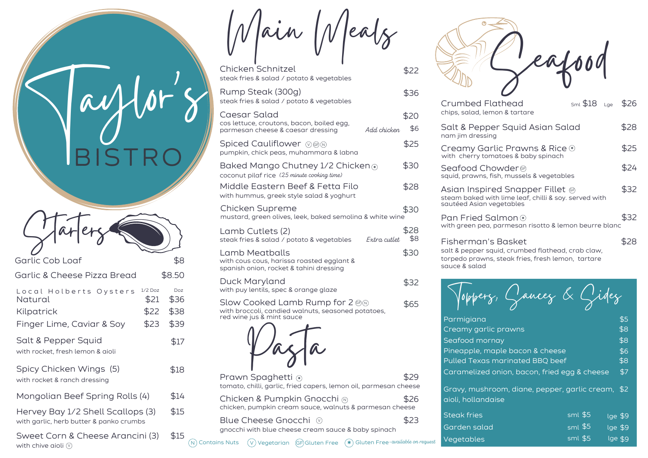Main Meals

| Chicken Schnitzel<br>steak fries & salad / potato & vegetables                                                                    | \$22        |                   |
|-----------------------------------------------------------------------------------------------------------------------------------|-------------|-------------------|
| Rump Steak (300g)<br>steak fries & salad / potato & vegetables                                                                    | \$36        | C                 |
| Caesar Salad<br>cos lettuce, croutons, bacon, boiled egg,<br>Add chicken<br>parmesan cheese & caesar dressing                     | \$20<br>\$6 | C<br>S<br>n       |
| Spiced Cauliflower ⊙⊛®<br>pumpkin, chick peas, muhammara & labna                                                                  | \$25        | C<br>W            |
| Baked Mango Chutney 1/2 Chicken ⊕<br>coconut pilaf rice (25 minute cooking time)                                                  | \$30        | S<br>$\mathsf{S}$ |
| Middle Eastern Beef & Fetta Filo<br>with hummus, greek style salad & yoghurt                                                      | \$28        | Д<br>St           |
| Chicken Supreme<br>mustard, green olives, leek, baked semolina & white wine                                                       | \$30        | $\mathsf{S}$<br>F |
| Lamb Cutlets (2)<br>steak fries & salad / potato & vegetables<br>Extra cutlet                                                     | \$28<br>\$8 | W<br>F            |
| Lamb Meatballs<br>with cous cous, harissa roasted egglant &<br>spanish onion, rocket & tahini dressing                            | \$30        | S(<br>tc<br>S(    |
| Duck Maryland<br>with puy lentils, spec & orange glaze                                                                            | \$32        |                   |
| Slow Cooked Lamb Rump for 2 $\circledast\circ$<br>with broccoli, candied walnuts, seasoned potatoes,<br>red wine jus & mint sauce | \$65        |                   |
|                                                                                                                                   |             |                   |
| Drawn Snaghatti                                                                                                                   | ⊄⊇Q         |                   |

| Prawn Spaghetti<br>tomato, chilli, garlic, fried capers, lemon oil, parmesan cheese             |      |
|-------------------------------------------------------------------------------------------------|------|
| Chicken & Pumpkin Gnocchi<br>chicken, pumpkin cream sauce, walnuts & parmesan cheese            | \$26 |
| Blue Cheese Gnocchi (0)<br>gnocchi with blue cheese cream sauce & baby spinach                  | \$23 |
| $(v)$ Vegetarian (GF) Gluten Free $(*)$ Gluten Free-available on request<br>$(N)$ Contains Nuts |      |

Seafood

| Crumbed Flathead<br>chips, salad, lemon & tartare                                                                    | sml \$18 | Lae | \$26 |
|----------------------------------------------------------------------------------------------------------------------|----------|-----|------|
| Salt & Pepper Squid Asian Salad<br>nam jim dressing                                                                  |          |     | \$28 |
| Creamy Garlic Prawns & Rice $\odot$<br>with cherry tomatoes & baby spinach                                           |          |     | \$25 |
| Seafood Chowder ®<br>squid, prawns, fish, mussels & vegetables                                                       |          |     | \$24 |
| Asian Inspired Snapper Fillet @<br>steam baked with lime leaf, chilli & soy, served with<br>sautéed Asian vegetables |          |     | \$32 |
| Pan Fried Salmon ®<br>with green pea, parmesan risotto & lemon beurre blanc                                          |          |     | \$32 |
| Fisherman's Basket                                                                                                   |          |     |      |

salt & pepper squid, crumbed flathead, crab claw, torpedo prawns, steak fries, fresh lemon, tartare sauce & salad

Toppers, Sauces & Sides

| Parmigiana                                                              |           | \$5       |  |
|-------------------------------------------------------------------------|-----------|-----------|--|
| Creamy garlic prawns                                                    |           | \$8       |  |
| Seafood mornay                                                          |           | \$8       |  |
| Pineapple, maple bacon & cheese                                         |           | \$6       |  |
| Pulled Texas marinated BBQ beef                                         |           | \$8       |  |
| Caramelized onion, bacon, fried egg & cheese                            |           | \$7       |  |
| Gravy, mushroom, diane, pepper, garlic cream, \$2<br>aioli, hollandaise |           |           |  |
| <b>Steak fries</b>                                                      | $sml$ \$5 | $lg = $9$ |  |
| Garden salad                                                            | $sml$ \$5 | lge \$9   |  |
| Vegetables                                                              | $sml$ \$5 | lge \$9   |  |

Vegetables

Starters \$8 \$8.50 Garlic Cob Loaf Garlic & Cheese Pizza Bread Local Holberts Oysters 1/2Doz Doz Natural Kilpatrick Finger Lime, Caviar & Soy \$21 \$22 \$23 \$36 \$38 \$39 Salt & Pepper Squid with rocket, fresh lemon & aioli Spicy Chicken Wings (5) with rocket & ranch dressing Mongolian Beef Spring Rolls (4) \$17 \$18 \$14

**Saylor**<br>BISTRC

BISTRO

 $\boldsymbol{\eta}$ 

\$15

 $\boldsymbol{\delta}$ 

| Hervey Bay 1/2 Shell Scallops (3)       |  |
|-----------------------------------------|--|
| with garlic, herb butter & panko crumbs |  |

Sweet Corn & Cheese Arancini (3) with chive aioli  $(\hat{v})$ \$15  $\mathcal{N}(\mathsf{N})$  Contains Nuts  $\mathcal{N}(\mathsf{V})$  Vegetarian  $\mathsf{G}\mathsf{F}$ ) Gluten Free  $\mathsf{F}(\mathbf{*})$  Gluten Free-

\$5 \$9